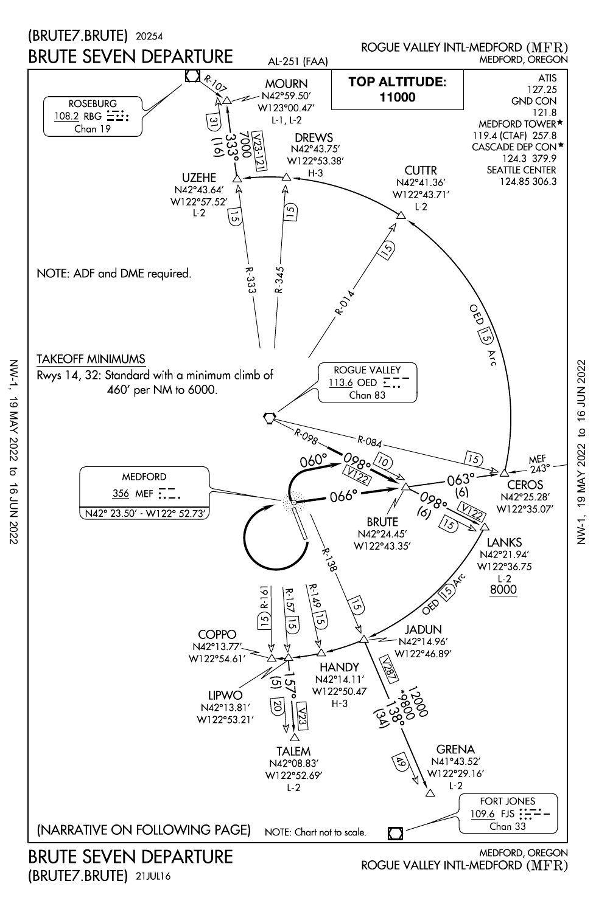

(BRUTE7.BRUTE) 21JUL16

NW-1, 19 MAY 2022 to 16 JUN 2022

 $\sigma$  $\vec{a}$ 720Z NOC

19 MAY 2022

NW-1,

VW-1, 19 MAY 2022 to 16 JUN 2022 NW-1, 19 MAY 2022 to 16 JUN 2022